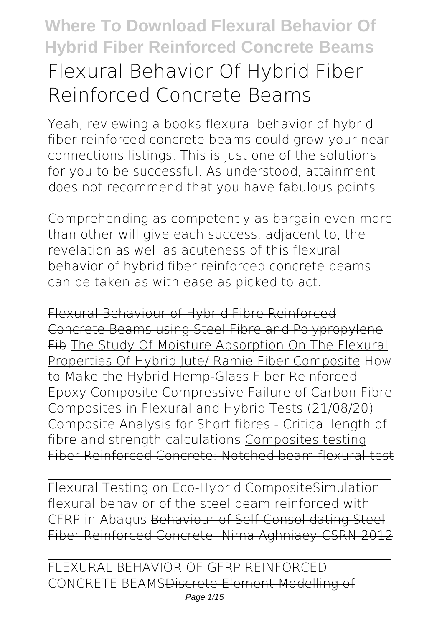# **Where To Download Flexural Behavior Of Hybrid Fiber Reinforced Concrete Beams Flexural Behavior Of Hybrid Fiber Reinforced Concrete Beams**

Yeah, reviewing a books **flexural behavior of hybrid fiber reinforced concrete beams** could grow your near connections listings. This is just one of the solutions for you to be successful. As understood, attainment does not recommend that you have fabulous points.

Comprehending as competently as bargain even more than other will give each success. adjacent to, the revelation as well as acuteness of this flexural behavior of hybrid fiber reinforced concrete beams can be taken as with ease as picked to act.

Flexural Behaviour of Hybrid Fibre Reinforced Concrete Beams using Steel Fibre and Polypropylene Fib The Study Of Moisture Absorption On The Flexural Properties Of Hybrid Jute/ Ramie Fiber Composite *How to Make the Hybrid Hemp-Glass Fiber Reinforced Epoxy Composite Compressive Failure of Carbon Fibre Composites in Flexural and Hybrid Tests (21/08/20) Composite Analysis for Short fibres - Critical length of fibre and strength calculations* Composites testing Fiber Reinforced Concrete: Notched beam flexural test

Flexural Testing on Eco-Hybrid Composite*Simulation flexural behavior of the steel beam reinforced with CFRP in Abaqus* Behaviour of Self-Consolidating Steel Fiber Reinforced Concrete- Nima Aghniaey-CSRN 2012

FLEXURAL BEHAVIOR OF GFRP REINFORCED CONCRETE BEAMSDiscrete Element Modelling of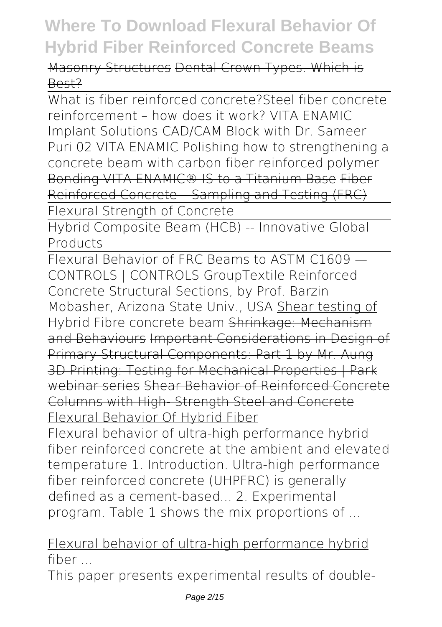Masonry Structures Dental Crown Types. Which is Best?

What is fiber reinforced concrete?*Steel fiber concrete reinforcement – how does it work? VITA ENAMIC Implant Solutions CAD/CAM Block with Dr. Sameer Puri 02 VITA ENAMIC Polishing how to strengthening a concrete beam with carbon fiber reinforced polymer* Bonding VITA ENAMIC® IS to a Titanium Base Fiber Reinforced Concrete – Sampling and Testing (FRC) Flexural Strength of Concrete

Hybrid Composite Beam (HCB) -- Innovative Global Products

Flexural Behavior of FRC Beams to ASTM C1609 — CONTROLS | CONTROLS Group**Textile Reinforced Concrete Structural Sections, by Prof. Barzin Mobasher, Arizona State Univ., USA** Shear testing of Hybrid Fibre concrete beam Shrinkage: Mechanism and Behaviours Important Considerations in Design of Primary Structural Components: Part 1 by Mr. Aung 3D Printing: Testing for Mechanical Properties | Park webinar series Shear Behavior of Reinforced Concrete Columns with High- Strength Steel and Concrete Flexural Behavior Of Hybrid Fiber

Flexural behavior of ultra-high performance hybrid fiber reinforced concrete at the ambient and elevated temperature 1. Introduction. Ultra-high performance fiber reinforced concrete (UHPFRC) is generally defined as a cement-based... 2. Experimental program. Table 1 shows the mix proportions of ...

#### Flexural behavior of ultra-high performance hybrid fiber ...

This paper presents experimental results of double-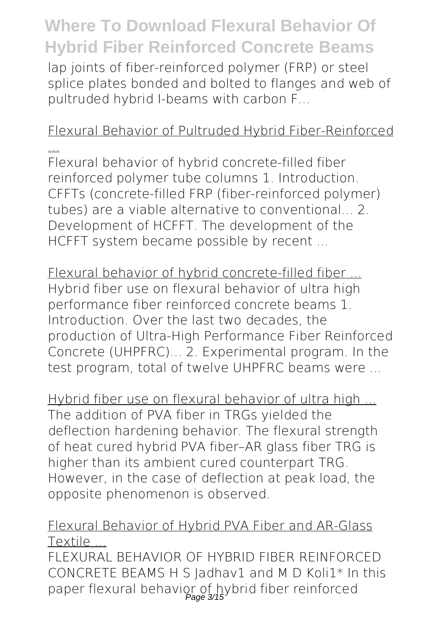lap joints of fiber-reinforced polymer (FRP) or steel splice plates bonded and bolted to flanges and web of pultruded hybrid I-beams with carbon F...

#### Flexural Behavior of Pultruded Hybrid Fiber-Reinforced

... Flexural behavior of hybrid concrete-filled fiber reinforced polymer tube columns 1. Introduction. CFFTs (concrete-filled FRP (fiber-reinforced polymer) tubes) are a viable alternative to conventional... 2. Development of HCFFT. The development of the HCFFT system became possible by recent ...

Flexural behavior of hybrid concrete-filled fiber ... Hybrid fiber use on flexural behavior of ultra high performance fiber reinforced concrete beams 1. Introduction. Over the last two decades, the production of Ultra-High Performance Fiber Reinforced Concrete (UHPFRC)... 2. Experimental program. In the test program, total of twelve UHPFRC beams were ...

Hybrid fiber use on flexural behavior of ultra high ... The addition of PVA fiber in TRGs yielded the deflection hardening behavior. The flexural strength of heat cured hybrid PVA fiber–AR glass fiber TRG is higher than its ambient cured counterpart TRG. However, in the case of deflection at peak load, the opposite phenomenon is observed.

#### Flexural Behavior of Hybrid PVA Fiber and AR-Glass **Textile**

FLEXURAL BEHAVIOR OF HYBRID FIBER REINFORCED CONCRETE BEAMS H S Jadhav1 and M D Koli1\* In this paper flexural behavior of hybrid fiber reinforced Page 3/15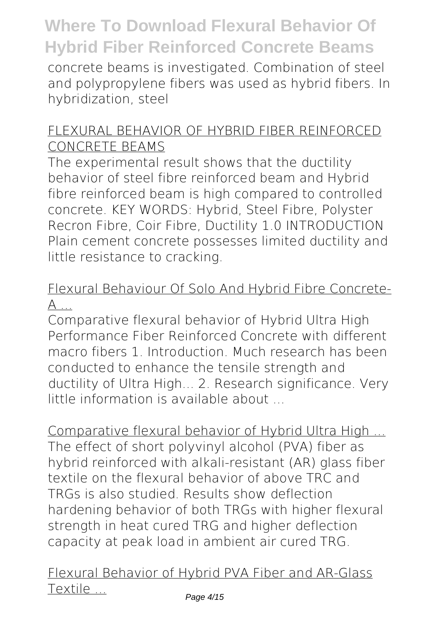concrete beams is investigated. Combination of steel and polypropylene fibers was used as hybrid fibers. In hybridization, steel

#### FLEXURAL BEHAVIOR OF HYBRID FIBER REINFORCED CONCRETE BEAMS

The experimental result shows that the ductility behavior of steel fibre reinforced beam and Hybrid fibre reinforced beam is high compared to controlled concrete. KEY WORDS: Hybrid, Steel Fibre, Polyster Recron Fibre, Coir Fibre, Ductility 1.0 INTRODUCTION Plain cement concrete possesses limited ductility and little resistance to cracking.

#### Flexural Behaviour Of Solo And Hybrid Fibre Concrete- $A$  ...

Comparative flexural behavior of Hybrid Ultra High Performance Fiber Reinforced Concrete with different macro fibers 1. Introduction. Much research has been conducted to enhance the tensile strength and ductility of Ultra High... 2. Research significance. Very little information is available about

Comparative flexural behavior of Hybrid Ultra High ... The effect of short polyvinyl alcohol (PVA) fiber as hybrid reinforced with alkali-resistant (AR) glass fiber textile on the flexural behavior of above TRC and TRGs is also studied. Results show deflection hardening behavior of both TRGs with higher flexural strength in heat cured TRG and higher deflection capacity at peak load in ambient air cured TRG.

Flexural Behavior of Hybrid PVA Fiber and AR-Glass Textile ...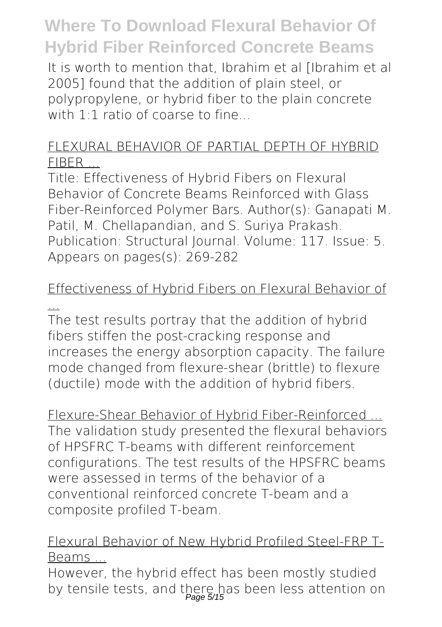It is worth to mention that, Ibrahim et al [Ibrahim et al 2005] found that the addition of plain steel, or polypropylene, or hybrid fiber to the plain concrete with  $1:1$  ratio of coarse to fine...

#### FLEXURAL BEHAVIOR OF PARTIAL DEPTH OF HYBRID FIBER ...

Title: Effectiveness of Hybrid Fibers on Flexural Behavior of Concrete Beams Reinforced with Glass Fiber-Reinforced Polymer Bars. Author(s): Ganapati M. Patil, M. Chellapandian, and S. Suriya Prakash. Publication: Structural Journal. Volume: 117. Issue: 5. Appears on pages(s): 269-282

#### Effectiveness of Hybrid Fibers on Flexural Behavior of ...

The test results portray that the addition of hybrid fibers stiffen the post-cracking response and increases the energy absorption capacity. The failure mode changed from flexure-shear (brittle) to flexure (ductile) mode with the addition of hybrid fibers.

Flexure-Shear Behavior of Hybrid Fiber-Reinforced ... The validation study presented the flexural behaviors of HPSFRC T-beams with different reinforcement configurations. The test results of the HPSFRC beams were assessed in terms of the behavior of a conventional reinforced concrete T-beam and a composite profiled T-beam.

#### Flexural Behavior of New Hybrid Profiled Steel-FRP T-Beams ...

However, the hybrid effect has been mostly studied by tensile tests, and there has been less attention on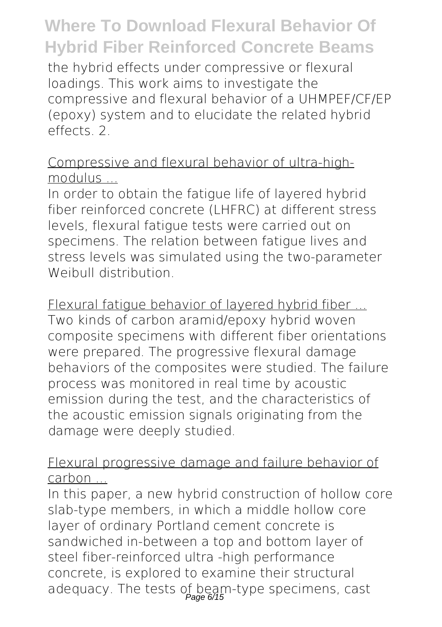the hybrid effects under compressive or flexural loadings. This work aims to investigate the compressive and flexural behavior of a UHMPEF/CF/EP (epoxy) system and to elucidate the related hybrid effects. 2.

Compressive and flexural behavior of ultra-highmodulus ...

In order to obtain the fatigue life of layered hybrid fiber reinforced concrete (LHFRC) at different stress levels, flexural fatigue tests were carried out on specimens. The relation between fatigue lives and stress levels was simulated using the two-parameter Weibull distribution.

Flexural fatigue behavior of layered hybrid fiber ... Two kinds of carbon aramid/epoxy hybrid woven composite specimens with different fiber orientations were prepared. The progressive flexural damage behaviors of the composites were studied. The failure process was monitored in real time by acoustic emission during the test, and the characteristics of the acoustic emission signals originating from the damage were deeply studied.

Flexural progressive damage and failure behavior of carbon ...

In this paper, a new hybrid construction of hollow core slab-type members, in which a middle hollow core layer of ordinary Portland cement concrete is sandwiched in-between a top and bottom layer of steel fiber-reinforced ultra -high performance concrete, is explored to examine their structural adequacy. The tests of beam-type specimens, cast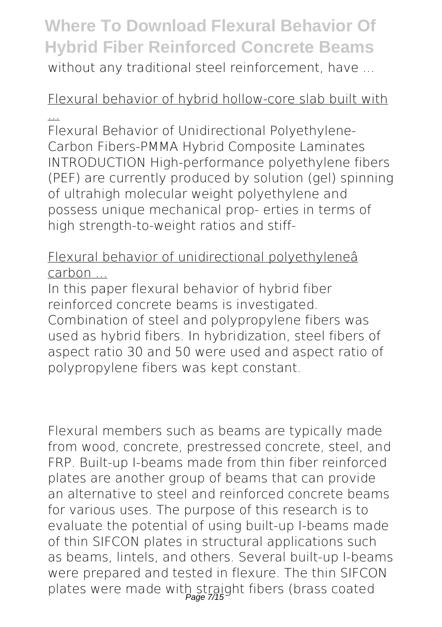#### **Where To Download Flexural Behavior Of Hybrid Fiber Reinforced Concrete Beams** without any traditional steel reinforcement, have ...

#### Flexural behavior of hybrid hollow-core slab built with ...

Flexural Behavior of Unidirectional Polyethylene-Carbon Fibers-PMMA Hybrid Composite Laminates INTRODUCTION High-performance polyethylene fibers (PEF) are currently produced by solution (gel) spinning of ultrahigh molecular weight polyethylene and possess unique mechanical prop- erties in terms of high strength-to-weight ratios and stiff-

#### Flexural behavior of unidirectional polyethyleneâ carbon ...

In this paper flexural behavior of hybrid fiber reinforced concrete beams is investigated. Combination of steel and polypropylene fibers was used as hybrid fibers. In hybridization, steel fibers of aspect ratio 30 and 50 were used and aspect ratio of polypropylene fibers was kept constant.

Flexural members such as beams are typically made from wood, concrete, prestressed concrete, steel, and FRP. Built-up I-beams made from thin fiber reinforced plates are another group of beams that can provide an alternative to steel and reinforced concrete beams for various uses. The purpose of this research is to evaluate the potential of using built-up I-beams made of thin SIFCON plates in structural applications such as beams, lintels, and others. Several built-up I-beams were prepared and tested in flexure. The thin SIFCON plates were made with straight fibers (brass coated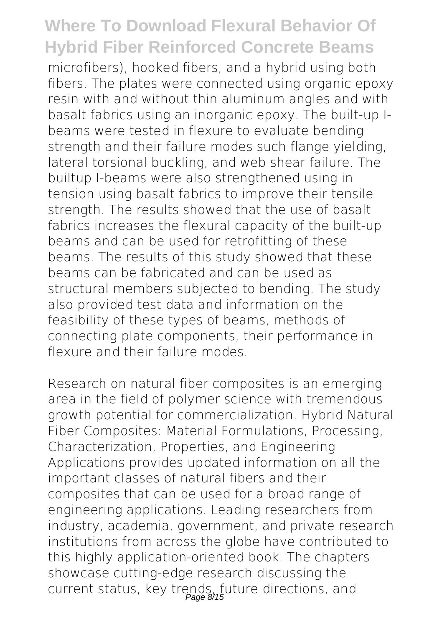microfibers), hooked fibers, and a hybrid using both fibers. The plates were connected using organic epoxy resin with and without thin aluminum angles and with basalt fabrics using an inorganic epoxy. The built-up Ibeams were tested in flexure to evaluate bending strength and their failure modes such flange yielding, lateral torsional buckling, and web shear failure. The builtup I-beams were also strengthened using in tension using basalt fabrics to improve their tensile strength. The results showed that the use of basalt fabrics increases the flexural capacity of the built-up beams and can be used for retrofitting of these beams. The results of this study showed that these beams can be fabricated and can be used as structural members subjected to bending. The study also provided test data and information on the feasibility of these types of beams, methods of connecting plate components, their performance in flexure and their failure modes.

Research on natural fiber composites is an emerging area in the field of polymer science with tremendous growth potential for commercialization. Hybrid Natural Fiber Composites: Material Formulations, Processing, Characterization, Properties, and Engineering Applications provides updated information on all the important classes of natural fibers and their composites that can be used for a broad range of engineering applications. Leading researchers from industry, academia, government, and private research institutions from across the globe have contributed to this highly application-oriented book. The chapters showcase cutting-edge research discussing the current status, key trends, future directions, and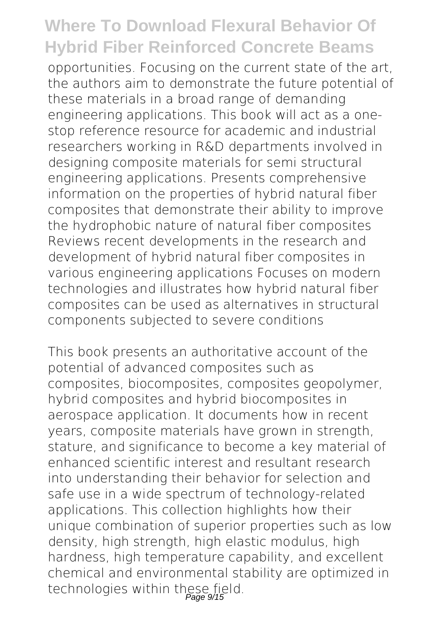opportunities. Focusing on the current state of the art, the authors aim to demonstrate the future potential of these materials in a broad range of demanding engineering applications. This book will act as a onestop reference resource for academic and industrial researchers working in R&D departments involved in designing composite materials for semi structural engineering applications. Presents comprehensive information on the properties of hybrid natural fiber composites that demonstrate their ability to improve the hydrophobic nature of natural fiber composites Reviews recent developments in the research and development of hybrid natural fiber composites in various engineering applications Focuses on modern technologies and illustrates how hybrid natural fiber composites can be used as alternatives in structural components subjected to severe conditions

This book presents an authoritative account of the potential of advanced composites such as composites, biocomposites, composites geopolymer, hybrid composites and hybrid biocomposites in aerospace application. It documents how in recent years, composite materials have grown in strength, stature, and significance to become a key material of enhanced scientific interest and resultant research into understanding their behavior for selection and safe use in a wide spectrum of technology-related applications. This collection highlights how their unique combination of superior properties such as low density, high strength, high elastic modulus, high hardness, high temperature capability, and excellent chemical and environmental stability are optimized in technologies within these field.<br>Page 9/15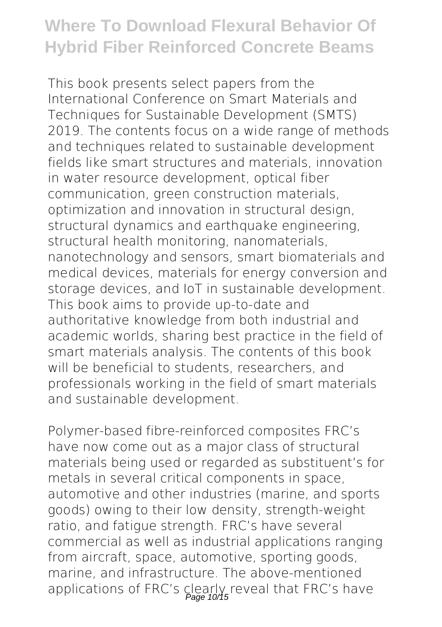This book presents select papers from the International Conference on Smart Materials and Techniques for Sustainable Development (SMTS) 2019. The contents focus on a wide range of methods and techniques related to sustainable development fields like smart structures and materials, innovation in water resource development, optical fiber communication, green construction materials, optimization and innovation in structural design, structural dynamics and earthquake engineering, structural health monitoring, nanomaterials, nanotechnology and sensors, smart biomaterials and medical devices, materials for energy conversion and storage devices, and IoT in sustainable development. This book aims to provide up-to-date and authoritative knowledge from both industrial and academic worlds, sharing best practice in the field of smart materials analysis. The contents of this book will be beneficial to students, researchers, and professionals working in the field of smart materials and sustainable development.

Polymer-based fibre-reinforced composites FRC's have now come out as a major class of structural materials being used or regarded as substituent's for metals in several critical components in space, automotive and other industries (marine, and sports goods) owing to their low density, strength-weight ratio, and fatigue strength. FRC's have several commercial as well as industrial applications ranging from aircraft, space, automotive, sporting goods, marine, and infrastructure. The above-mentioned applications of FRC's clearly reveal that FRC's have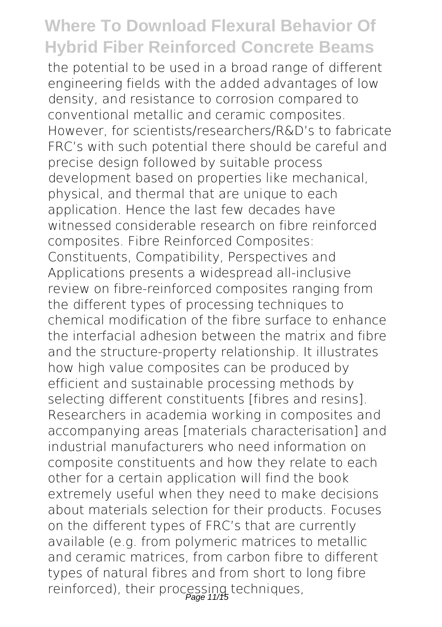the potential to be used in a broad range of different engineering fields with the added advantages of low density, and resistance to corrosion compared to conventional metallic and ceramic composites. However, for scientists/researchers/R&D's to fabricate FRC's with such potential there should be careful and precise design followed by suitable process development based on properties like mechanical, physical, and thermal that are unique to each application. Hence the last few decades have witnessed considerable research on fibre reinforced composites. Fibre Reinforced Composites: Constituents, Compatibility, Perspectives and Applications presents a widespread all-inclusive review on fibre-reinforced composites ranging from the different types of processing techniques to chemical modification of the fibre surface to enhance the interfacial adhesion between the matrix and fibre and the structure-property relationship. It illustrates how high value composites can be produced by efficient and sustainable processing methods by selecting different constituents [fibres and resins]. Researchers in academia working in composites and accompanying areas [materials characterisation] and industrial manufacturers who need information on composite constituents and how they relate to each other for a certain application will find the book extremely useful when they need to make decisions about materials selection for their products. Focuses on the different types of FRC's that are currently available (e.g. from polymeric matrices to metallic and ceramic matrices, from carbon fibre to different types of natural fibres and from short to long fibre reinforced), their processing techniques,<br>Page 11/15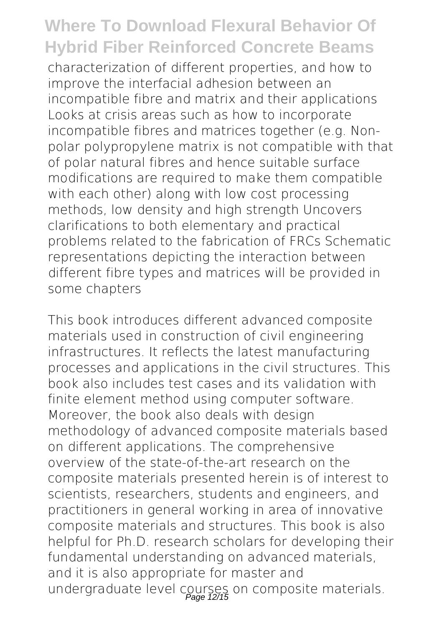characterization of different properties, and how to improve the interfacial adhesion between an incompatible fibre and matrix and their applications Looks at crisis areas such as how to incorporate incompatible fibres and matrices together (e.g. Nonpolar polypropylene matrix is not compatible with that of polar natural fibres and hence suitable surface modifications are required to make them compatible with each other) along with low cost processing methods, low density and high strength Uncovers clarifications to both elementary and practical problems related to the fabrication of FRCs Schematic representations depicting the interaction between different fibre types and matrices will be provided in some chapters

This book introduces different advanced composite materials used in construction of civil engineering infrastructures. It reflects the latest manufacturing processes and applications in the civil structures. This book also includes test cases and its validation with finite element method using computer software. Moreover, the book also deals with design methodology of advanced composite materials based on different applications. The comprehensive overview of the state-of-the-art research on the composite materials presented herein is of interest to scientists, researchers, students and engineers, and practitioners in general working in area of innovative composite materials and structures. This book is also helpful for Ph.D. research scholars for developing their fundamental understanding on advanced materials, and it is also appropriate for master and undergraduate level courses on composite materials.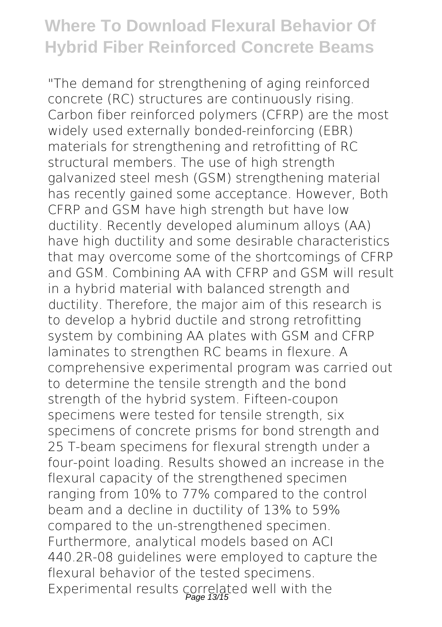"The demand for strengthening of aging reinforced concrete (RC) structures are continuously rising. Carbon fiber reinforced polymers (CFRP) are the most widely used externally bonded-reinforcing (EBR) materials for strengthening and retrofitting of RC structural members. The use of high strength galvanized steel mesh (GSM) strengthening material has recently gained some acceptance. However, Both CFRP and GSM have high strength but have low ductility. Recently developed aluminum alloys (AA) have high ductility and some desirable characteristics that may overcome some of the shortcomings of CFRP and GSM. Combining AA with CFRP and GSM will result in a hybrid material with balanced strength and ductility. Therefore, the major aim of this research is to develop a hybrid ductile and strong retrofitting system by combining AA plates with GSM and CFRP laminates to strengthen RC beams in flexure. A comprehensive experimental program was carried out to determine the tensile strength and the bond strength of the hybrid system. Fifteen-coupon specimens were tested for tensile strength, six specimens of concrete prisms for bond strength and 25 T-beam specimens for flexural strength under a four-point loading. Results showed an increase in the flexural capacity of the strengthened specimen ranging from 10% to 77% compared to the control beam and a decline in ductility of 13% to 59% compared to the un-strengthened specimen. Furthermore, analytical models based on ACI 440.2R-08 guidelines were employed to capture the flexural behavior of the tested specimens. Experimental results correlated well with the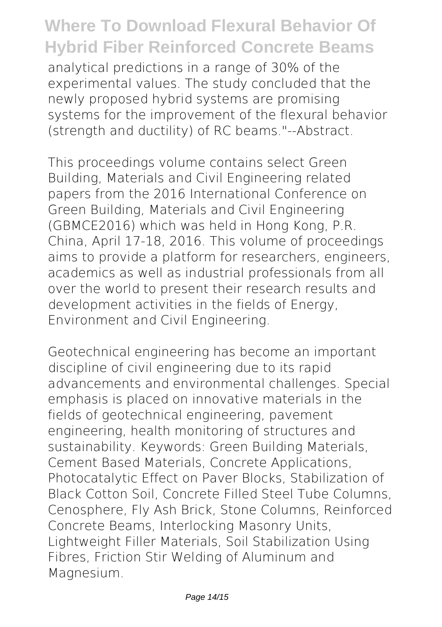analytical predictions in a range of 30% of the experimental values. The study concluded that the newly proposed hybrid systems are promising systems for the improvement of the flexural behavior (strength and ductility) of RC beams."--Abstract.

This proceedings volume contains select Green Building, Materials and Civil Engineering related papers from the 2016 International Conference on Green Building, Materials and Civil Engineering (GBMCE2016) which was held in Hong Kong, P.R. China, April 17-18, 2016. This volume of proceedings aims to provide a platform for researchers, engineers, academics as well as industrial professionals from all over the world to present their research results and development activities in the fields of Energy, Environment and Civil Engineering.

Geotechnical engineering has become an important discipline of civil engineering due to its rapid advancements and environmental challenges. Special emphasis is placed on innovative materials in the fields of geotechnical engineering, pavement engineering, health monitoring of structures and sustainability. Keywords: Green Building Materials, Cement Based Materials, Concrete Applications, Photocatalytic Effect on Paver Blocks, Stabilization of Black Cotton Soil, Concrete Filled Steel Tube Columns, Cenosphere, Fly Ash Brick, Stone Columns, Reinforced Concrete Beams, Interlocking Masonry Units, Lightweight Filler Materials, Soil Stabilization Using Fibres, Friction Stir Welding of Aluminum and Magnesium.